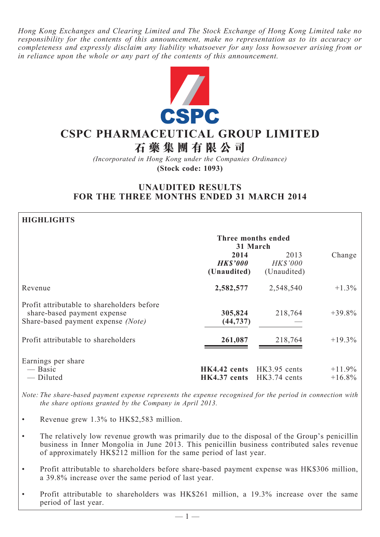*Hong Kong Exchanges and Clearing Limited and The Stock Exchange of Hong Kong Limited take no responsibility for the contents of this announcement, make no representation as to its accuracy or completeness and expressly disclaim any liability whatsoever for any loss howsoever arising from or in reliance upon the whole or any part of the contents of this announcement.*



# **CSPC Pharmaceutical Group Limited**

**石 藥 集 團 有 限 公 司**

*(Incorporated in Hong Kong under the Companies Ordinance)* **(Stock code: 1093)**

# **UNAUDITED RESULTS FOR THE THREE MONTHS ENDED 31 MARCH 2014**

# **HIGHLIGHTS**

|                                                                                                                 | Three months ended<br>31 March            |                                        |                      |
|-----------------------------------------------------------------------------------------------------------------|-------------------------------------------|----------------------------------------|----------------------|
|                                                                                                                 | 2014<br><b>HK\$'000</b><br>(Unaudited)    | 2013<br><b>HK\$'000</b><br>(Unaudited) | Change               |
| Revenue                                                                                                         | 2,582,577                                 | 2,548,540                              | $+1.3\%$             |
| Profit attributable to shareholders before<br>share-based payment expense<br>Share-based payment expense (Note) | 305,824<br>(44, 737)                      | 218,764                                | $+39.8\%$            |
| Profit attributable to shareholders                                                                             | 261,087                                   | 218,764                                | $+19.3\%$            |
| Earnings per share<br>— Basic<br>— Diluted                                                                      | HK4.42 cents HK3.95 cents<br>HK4.37 cents | $HK3.74$ cents                         | $+11.9%$<br>$+16.8%$ |

*Note: The share-based payment expense represents the expense recognised for the period in connection with the share options granted by the Company in April 2013.*

- Revenue grew 1.3% to HK\$2,583 million.
- The relatively low revenue growth was primarily due to the disposal of the Group's penicillin business in Inner Mongolia in June 2013. This penicillin business contributed sales revenue of approximately HK\$212 million for the same period of last year.
- Profit attributable to shareholders before share-based payment expense was HK\$306 million, a 39.8% increase over the same period of last year.
- Profit attributable to shareholders was HK\$261 million, a 19.3% increase over the same period of last year.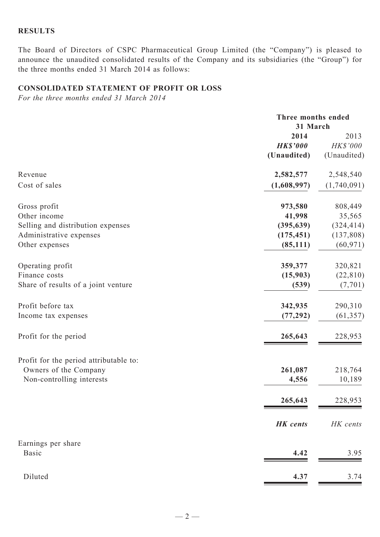# **Results**

The Board of Directors of CSPC Pharmaceutical Group Limited (the "Company") is pleased to announce the unaudited consolidated results of the Company and its subsidiaries (the "Group") for the three months ended 31 March 2014 as follows:

# **CONSOLIDATED STATEMENT of Profit or Loss**

*For the three months ended 31 March 2014*

|                                                                                                                | Three months ended<br>31 March                             |                                                            |  |
|----------------------------------------------------------------------------------------------------------------|------------------------------------------------------------|------------------------------------------------------------|--|
|                                                                                                                | 2014<br><b>HK\$'000</b><br>(Unaudited)                     | 2013<br>HK\$'000<br>(Unaudited)                            |  |
| Revenue                                                                                                        | 2,582,577                                                  | 2,548,540                                                  |  |
| Cost of sales                                                                                                  | (1,608,997)                                                | (1,740,091)                                                |  |
| Gross profit<br>Other income<br>Selling and distribution expenses<br>Administrative expenses<br>Other expenses | 973,580<br>41,998<br>(395, 639)<br>(175, 451)<br>(85, 111) | 808,449<br>35,565<br>(324, 414)<br>(137, 808)<br>(60, 971) |  |
| Operating profit<br>Finance costs<br>Share of results of a joint venture                                       | 359,377<br>(15,903)<br>(539)                               | 320,821<br>(22, 810)<br>(7, 701)                           |  |
| Profit before tax<br>Income tax expenses                                                                       | 342,935<br>(77, 292)                                       | 290,310<br>(61, 357)                                       |  |
| Profit for the period                                                                                          | 265,643                                                    | 228,953                                                    |  |
| Profit for the period attributable to:<br>Owners of the Company<br>Non-controlling interests                   | 261,087<br>4,556<br>265,643                                | 218,764<br>10,189<br>228,953                               |  |
|                                                                                                                | <b>HK</b> cents                                            | HK cents                                                   |  |
| Earnings per share<br><b>Basic</b>                                                                             | 4.42                                                       | 3.95                                                       |  |
| Diluted                                                                                                        | 4.37                                                       | 3.74                                                       |  |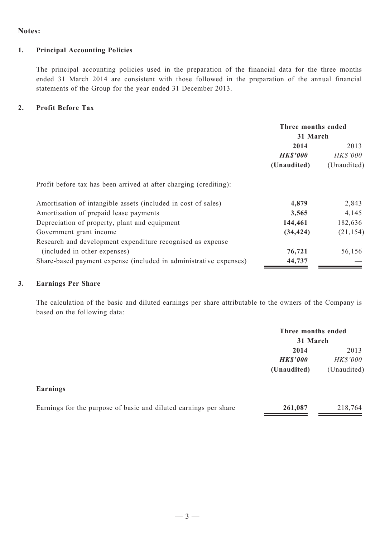#### **Notes:**

#### **1. Principal Accounting Policies**

The principal accounting policies used in the preparation of the financial data for the three months ended 31 March 2014 are consistent with those followed in the preparation of the annual financial statements of the Group for the year ended 31 December 2013.

#### **2. Profit Before Tax**

|                                                                   | Three months ended<br>31 March |             |  |
|-------------------------------------------------------------------|--------------------------------|-------------|--|
|                                                                   |                                |             |  |
|                                                                   | 2014                           | 2013        |  |
|                                                                   | <b>HK\$'000</b>                | HK\$'000    |  |
|                                                                   | (Unaudited)                    | (Unaudited) |  |
| Profit before tax has been arrived at after charging (crediting): |                                |             |  |
| Amortisation of intangible assets (included in cost of sales)     | 4,879                          | 2,843       |  |
| Amortisation of prepaid lease payments                            | 3,565                          | 4,145       |  |
| Depreciation of property, plant and equipment                     | 144,461                        | 182,636     |  |
| Government grant income                                           | (34, 424)                      | (21, 154)   |  |
| Research and development expenditure recognised as expense        |                                |             |  |
| (included in other expenses)                                      | 76,721                         | 56,156      |  |
| Share-based payment expense (included in administrative expenses) | 44,737                         |             |  |

## **3. Earnings Per Share**

The calculation of the basic and diluted earnings per share attributable to the owners of the Company is based on the following data:

|                                                                  | Three months ended<br>31 March |             |
|------------------------------------------------------------------|--------------------------------|-------------|
|                                                                  | 2014                           | 2013        |
|                                                                  | <b>HK\$'000</b>                | HK\$'000    |
|                                                                  | (Unaudited)                    | (Unaudited) |
| Earnings                                                         |                                |             |
| Earnings for the purpose of basic and diluted earnings per share | 261,087                        | 218,764     |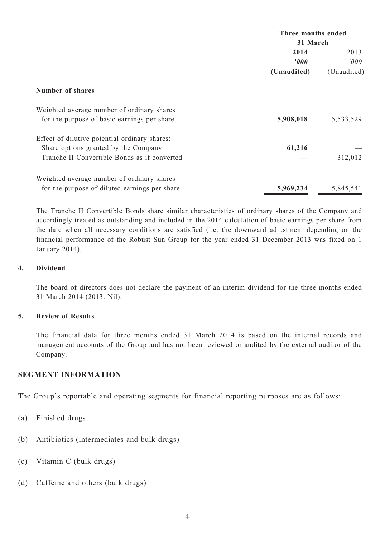|                                               | Three months ended<br>31 March |             |  |
|-----------------------------------------------|--------------------------------|-------------|--|
|                                               |                                |             |  |
|                                               | 2014                           | 2013        |  |
|                                               | $\boldsymbol{v}$               | 000'        |  |
|                                               | (Unaudited)                    | (Unaudited) |  |
| <b>Number of shares</b>                       |                                |             |  |
| Weighted average number of ordinary shares    |                                |             |  |
| for the purpose of basic earnings per share   | 5,908,018                      | 5,533,529   |  |
| Effect of dilutive potential ordinary shares: |                                |             |  |
| Share options granted by the Company          | 61,216                         |             |  |
| Tranche II Convertible Bonds as if converted  |                                | 312,012     |  |
| Weighted average number of ordinary shares    |                                |             |  |
| for the purpose of diluted earnings per share | 5,969,234                      | 5,845,541   |  |

The Tranche II Convertible Bonds share similar characteristics of ordinary shares of the Company and accordingly treated as outstanding and included in the 2014 calculation of basic earnings per share from the date when all necessary conditions are satisfied (i.e. the downward adjustment depending on the financial performance of the Robust Sun Group for the year ended 31 December 2013 was fixed on 1 January 2014).

# **4. Dividend**

The board of directors does not declare the payment of an interim dividend for the three months ended 31 March 2014 (2013: Nil).

# **5. Review of Results**

The financial data for three months ended 31 March 2014 is based on the internal records and management accounts of the Group and has not been reviewed or audited by the external auditor of the Company.

# **SEGMENT INFORMATION**

The Group's reportable and operating segments for financial reporting purposes are as follows:

- (a) Finished drugs
- (b) Antibiotics (intermediates and bulk drugs)
- (c) Vitamin C (bulk drugs)
- (d) Caffeine and others (bulk drugs)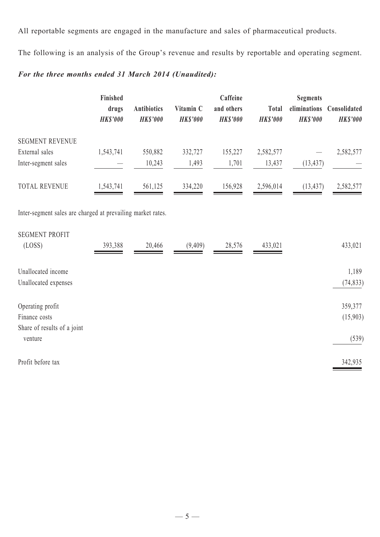All reportable segments are engaged in the manufacture and sales of pharmaceutical products.

The following is an analysis of the Group's revenue and results by reportable and operating segment.

# *For the three months ended 31 March 2014 (Unaudited):*

|                                                             | Finished<br>drugs<br><b>HK\$'000</b> | <b>Antibiotics</b><br><b>HK\$'000</b> | Vitamin C<br><b>HK\$'000</b> | Caffeine<br>and others<br><b>HK\$'000</b> | <b>Total</b><br><b>HK\$'000</b> | <b>Segments</b><br>eliminations<br><b>HK\$'000</b> | Consolidated<br><b>HK\$'000</b> |
|-------------------------------------------------------------|--------------------------------------|---------------------------------------|------------------------------|-------------------------------------------|---------------------------------|----------------------------------------------------|---------------------------------|
| <b>SEGMENT REVENUE</b>                                      |                                      |                                       |                              |                                           |                                 |                                                    |                                 |
| External sales                                              | 1,543,741                            | 550,882                               | 332,727                      | 155,227                                   | 2,582,577                       |                                                    | 2,582,577                       |
| Inter-segment sales                                         |                                      | 10,243                                | 1,493                        | 1,701                                     | 13,437                          | (13, 437)                                          |                                 |
| <b>TOTAL REVENUE</b>                                        | 1,543,741                            | 561,125                               | 334,220                      | 156,928                                   | 2,596,014                       | (13, 437)                                          | 2,582,577                       |
| Inter-segment sales are charged at prevailing market rates. |                                      |                                       |                              |                                           |                                 |                                                    |                                 |
| <b>SEGMENT PROFIT</b>                                       |                                      |                                       |                              |                                           |                                 |                                                    |                                 |
| (LOSS)                                                      | 393,388                              | 20,466                                | (9,409)                      | 28,576                                    | 433,021                         |                                                    | 433,021                         |
| Unallocated income                                          |                                      |                                       |                              |                                           |                                 |                                                    | 1,189                           |
| Unallocated expenses                                        |                                      |                                       |                              |                                           |                                 |                                                    | (74, 833)                       |
| Operating profit                                            |                                      |                                       |                              |                                           |                                 |                                                    | 359,377                         |
| Finance costs                                               |                                      |                                       |                              |                                           |                                 |                                                    | (15,903)                        |
| Share of results of a joint<br>venture                      |                                      |                                       |                              |                                           |                                 |                                                    | (539)                           |
| Profit before tax                                           |                                      |                                       |                              |                                           |                                 |                                                    | 342,935                         |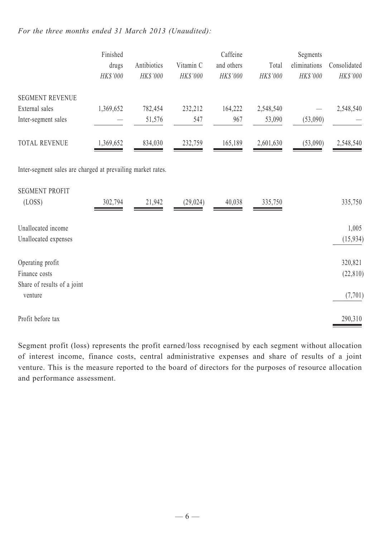# *For the three months ended 31 March 2013 (Unaudited):*

|                                                             | Finished  |             |           | Caffeine   |           | Segments     |              |
|-------------------------------------------------------------|-----------|-------------|-----------|------------|-----------|--------------|--------------|
|                                                             | drugs     | Antibiotics | Vitamin C | and others | Total     | eliminations | Consolidated |
|                                                             | HK\$'000  | HK\$'000    | HK\$'000  | HK\$'000   | HK\$'000  | HK\$'000     | HK\$'000     |
| <b>SEGMENT REVENUE</b>                                      |           |             |           |            |           |              |              |
| External sales                                              | 1,369,652 | 782,454     | 232,212   | 164,222    | 2,548,540 |              | 2,548,540    |
| Inter-segment sales                                         |           | 51,576      | 547       | 967        | 53,090    | (53,090)     |              |
| <b>TOTAL REVENUE</b>                                        | 1,369,652 | 834,030     | 232,759   | 165,189    | 2,601,630 | (53,090)     | 2,548,540    |
| Inter-segment sales are charged at prevailing market rates. |           |             |           |            |           |              |              |
| <b>SEGMENT PROFIT</b>                                       |           |             |           |            |           |              |              |
| (LOSS)                                                      | 302,794   | 21,942      | (29, 024) | 40,038     | 335,750   |              | 335,750      |
| Unallocated income                                          |           |             |           |            |           |              | 1,005        |
| Unallocated expenses                                        |           |             |           |            |           |              | (15, 934)    |
| Operating profit                                            |           |             |           |            |           |              | 320,821      |
| Finance costs                                               |           |             |           |            |           |              | (22, 810)    |
| Share of results of a joint                                 |           |             |           |            |           |              |              |
| venture                                                     |           |             |           |            |           |              | (7, 701)     |
| Profit before tax                                           |           |             |           |            |           |              | 290,310      |

Segment profit (loss) represents the profit earned/loss recognised by each segment without allocation of interest income, finance costs, central administrative expenses and share of results of a joint venture. This is the measure reported to the board of directors for the purposes of resource allocation and performance assessment.